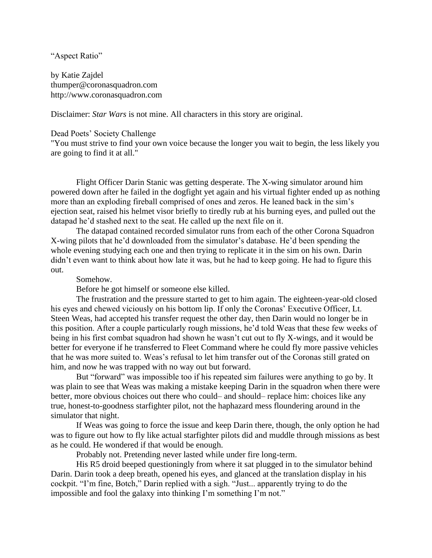## "Aspect Ratio"

by Katie Zajdel thumper@coronasquadron.com http://www.coronasquadron.com

Disclaimer: *Star Wars* is not mine. All characters in this story are original.

## Dead Poets' Society Challenge

"You must strive to find your own voice because the longer you wait to begin, the less likely you are going to find it at all."

Flight Officer Darin Stanic was getting desperate. The X-wing simulator around him powered down after he failed in the dogfight yet again and his virtual fighter ended up as nothing more than an exploding fireball comprised of ones and zeros. He leaned back in the sim's ejection seat, raised his helmet visor briefly to tiredly rub at his burning eyes, and pulled out the datapad he'd stashed next to the seat. He called up the next file on it.

The datapad contained recorded simulator runs from each of the other Corona Squadron X-wing pilots that he'd downloaded from the simulator's database. He'd been spending the whole evening studying each one and then trying to replicate it in the sim on his own. Darin didn't even want to think about how late it was, but he had to keep going. He had to figure this out.

## Somehow.

Before he got himself or someone else killed.

The frustration and the pressure started to get to him again. The eighteen-year-old closed his eyes and chewed viciously on his bottom lip. If only the Coronas' Executive Officer, Lt. Steen Weas, had accepted his transfer request the other day, then Darin would no longer be in this position. After a couple particularly rough missions, he'd told Weas that these few weeks of being in his first combat squadron had shown he wasn't cut out to fly X-wings, and it would be better for everyone if he transferred to Fleet Command where he could fly more passive vehicles that he was more suited to. Weas's refusal to let him transfer out of the Coronas still grated on him, and now he was trapped with no way out but forward.

But "forward" was impossible too if his repeated sim failures were anything to go by. It was plain to see that Weas was making a mistake keeping Darin in the squadron when there were better, more obvious choices out there who could– and should– replace him: choices like any true, honest-to-goodness starfighter pilot, not the haphazard mess floundering around in the simulator that night.

If Weas was going to force the issue and keep Darin there, though, the only option he had was to figure out how to fly like actual starfighter pilots did and muddle through missions as best as he could. He wondered if that would be enough.

Probably not. Pretending never lasted while under fire long-term.

His R5 droid beeped questioningly from where it sat plugged in to the simulator behind Darin. Darin took a deep breath, opened his eyes, and glanced at the translation display in his cockpit. "I'm fine, Botch," Darin replied with a sigh. "Just... apparently trying to do the impossible and fool the galaxy into thinking I'm something I'm not."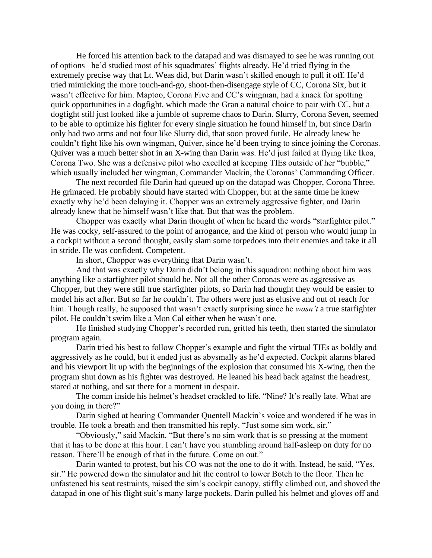He forced his attention back to the datapad and was dismayed to see he was running out of options– he'd studied most of his squadmates' flights already. He'd tried flying in the extremely precise way that Lt. Weas did, but Darin wasn't skilled enough to pull it off. He'd tried mimicking the more touch-and-go, shoot-then-disengage style of CC, Corona Six, but it wasn't effective for him. Maptoo, Corona Five and CC's wingman, had a knack for spotting quick opportunities in a dogfight, which made the Gran a natural choice to pair with CC, but a dogfight still just looked like a jumble of supreme chaos to Darin. Slurry, Corona Seven, seemed to be able to optimize his fighter for every single situation he found himself in, but since Darin only had two arms and not four like Slurry did, that soon proved futile. He already knew he couldn't fight like his own wingman, Quiver, since he'd been trying to since joining the Coronas. Quiver was a much better shot in an X-wing than Darin was. He'd just failed at flying like Ikoa, Corona Two. She was a defensive pilot who excelled at keeping TIEs outside of her "bubble," which usually included her wingman, Commander Mackin, the Coronas' Commanding Officer.

The next recorded file Darin had queued up on the datapad was Chopper, Corona Three. He grimaced. He probably should have started with Chopper, but at the same time he knew exactly why he'd been delaying it. Chopper was an extremely aggressive fighter, and Darin already knew that he himself wasn't like that. But that was the problem.

Chopper was exactly what Darin thought of when he heard the words "starfighter pilot." He was cocky, self-assured to the point of arrogance, and the kind of person who would jump in a cockpit without a second thought, easily slam some torpedoes into their enemies and take it all in stride. He was confident. Competent.

In short, Chopper was everything that Darin wasn't.

And that was exactly why Darin didn't belong in this squadron: nothing about him was anything like a starfighter pilot should be. Not all the other Coronas were as aggressive as Chopper, but they were still true starfighter pilots, so Darin had thought they would be easier to model his act after. But so far he couldn't. The others were just as elusive and out of reach for him. Though really, he supposed that wasn't exactly surprising since he *wasn't* a true starfighter pilot. He couldn't swim like a Mon Cal either when he wasn't one.

He finished studying Chopper's recorded run, gritted his teeth, then started the simulator program again.

Darin tried his best to follow Chopper's example and fight the virtual TIEs as boldly and aggressively as he could, but it ended just as abysmally as he'd expected. Cockpit alarms blared and his viewport lit up with the beginnings of the explosion that consumed his X-wing, then the program shut down as his fighter was destroyed. He leaned his head back against the headrest, stared at nothing, and sat there for a moment in despair.

The comm inside his helmet's headset crackled to life. "Nine? It's really late. What are you doing in there?"

Darin sighed at hearing Commander Quentell Mackin's voice and wondered if he was in trouble. He took a breath and then transmitted his reply. "Just some sim work, sir."

"Obviously," said Mackin. "But there's no sim work that is so pressing at the moment that it has to be done at this hour. I can't have you stumbling around half-asleep on duty for no reason. There'll be enough of that in the future. Come on out."

Darin wanted to protest, but his CO was not the one to do it with. Instead, he said, "Yes, sir." He powered down the simulator and hit the control to lower Botch to the floor. Then he unfastened his seat restraints, raised the sim's cockpit canopy, stiffly climbed out, and shoved the datapad in one of his flight suit's many large pockets. Darin pulled his helmet and gloves off and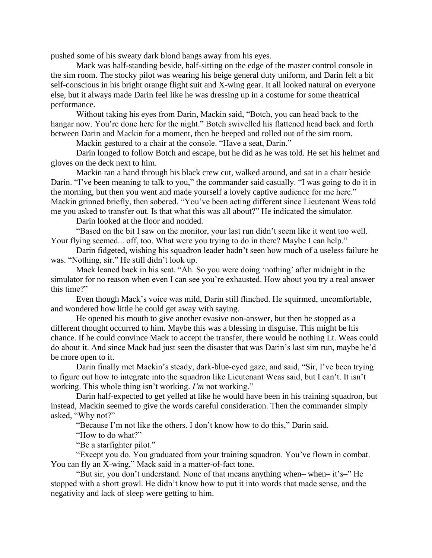pushed some of his sweaty dark blond bangs away from his eyes.

Mack was half-standing beside, half-sitting on the edge of the master control console in the sim room. The stocky pilot was wearing his beige general duty uniform, and Darin felt a bit self-conscious in his bright orange flight suit and X-wing gear. It all looked natural on everyone else, but it always made Darin feel like he was dressing up in a costume for some theatrical performance.

Without taking his eyes from Darin, Mackin said, "Botch, you can head back to the hangar now. You're done here for the night." Botch swivelled his flattened head back and forth between Darin and Mackin for a moment, then he beeped and rolled out of the sim room.

Mackin gestured to a chair at the console. "Have a seat, Darin."

Darin longed to follow Botch and escape, but he did as he was told. He set his helmet and gloves on the deck next to him.

Mackin ran a hand through his black crew cut, walked around, and sat in a chair beside Darin. "I've been meaning to talk to you," the commander said casually. "I was going to do it in the morning, but then you went and made yourself a lovely captive audience for me here." Mackin grinned briefly, then sobered. "You've been acting different since Lieutenant Weas told me you asked to transfer out. Is that what this was all about?" He indicated the simulator.

Darin looked at the floor and nodded.

"Based on the bit I saw on the monitor, your last run didn't seem like it went too well. Your flying seemed... off, too. What were you trying to do in there? Maybe I can help."

Darin fidgeted, wishing his squadron leader hadn't seen how much of a useless failure he was. "Nothing, sir." He still didn't look up.

Mack leaned back in his seat. "Ah. So you were doing 'nothing' after midnight in the simulator for no reason when even I can see you're exhausted. How about you try a real answer this time?"

Even though Mack's voice was mild, Darin still flinched. He squirmed, uncomfortable, and wondered how little he could get away with saying.

He opened his mouth to give another evasive non-answer, but then he stopped as a different thought occurred to him. Maybe this was a blessing in disguise. This might be his chance. If he could convince Mack to accept the transfer, there would be nothing Lt. Weas could do about it. And since Mack had just seen the disaster that was Darin's last sim run, maybe he'd be more open to it.

Darin finally met Mackin's steady, dark-blue-eyed gaze, and said, "Sir, I've been trying to figure out how to integrate into the squadron like Lieutenant Weas said, but I can't. It isn't working. This whole thing isn't working. *I'm* not working."

Darin half-expected to get yelled at like he would have been in his training squadron, but instead, Mackin seemed to give the words careful consideration. Then the commander simply asked, "Why not?"

"Because I'm not like the others. I don't know how to do this," Darin said.

"How to do what?"

"Be a starfighter pilot."

"Except you do. You graduated from your training squadron. You've flown in combat. You can fly an X-wing," Mack said in a matter-of-fact tone.

"But sir, you don't understand. None of that means anything when– when– it's–" He stopped with a short growl. He didn't know how to put it into words that made sense, and the negativity and lack of sleep were getting to him.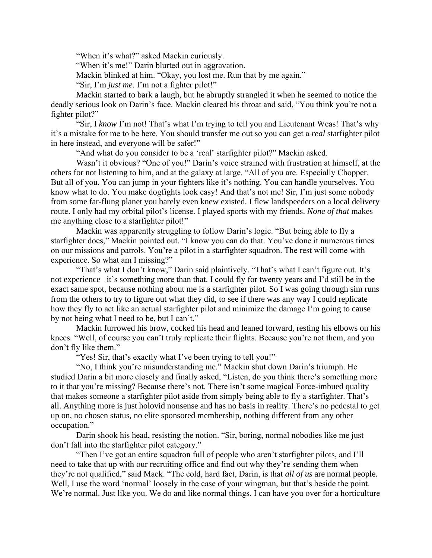"When it's what?" asked Mackin curiously.

"When it's me!" Darin blurted out in aggravation.

Mackin blinked at him. "Okay, you lost me. Run that by me again."

"Sir, I'm *just me*. I'm not a fighter pilot!"

Mackin started to bark a laugh, but he abruptly strangled it when he seemed to notice the deadly serious look on Darin's face. Mackin cleared his throat and said, "You think you're not a fighter pilot?"

"Sir, I *know* I'm not! That's what I'm trying to tell you and Lieutenant Weas! That's why it's a mistake for me to be here. You should transfer me out so you can get a *real* starfighter pilot in here instead, and everyone will be safer!"

"And what do you consider to be a 'real' starfighter pilot?" Mackin asked.

Wasn't it obvious? "One of you!" Darin's voice strained with frustration at himself, at the others for not listening to him, and at the galaxy at large. "All of you are. Especially Chopper. But all of you. You can jump in your fighters like it's nothing. You can handle yourselves. You know what to do. You make dogfights look easy! And that's not me! Sir, I'm just some nobody from some far-flung planet you barely even knew existed. I flew landspeeders on a local delivery route. I only had my orbital pilot's license. I played sports with my friends. *None of that* makes me anything close to a starfighter pilot!"

Mackin was apparently struggling to follow Darin's logic. "But being able to fly a starfighter does," Mackin pointed out. "I know you can do that. You've done it numerous times on our missions and patrols. You're a pilot in a starfighter squadron. The rest will come with experience. So what am I missing?"

"That's what I don't know," Darin said plaintively. "That's what I can't figure out. It's not experience– it's something more than that. I could fly for twenty years and I'd still be in the exact same spot, because nothing about me is a starfighter pilot. So I was going through sim runs from the others to try to figure out what they did, to see if there was any way I could replicate how they fly to act like an actual starfighter pilot and minimize the damage I'm going to cause by not being what I need to be, but I can't."

Mackin furrowed his brow, cocked his head and leaned forward, resting his elbows on his knees. "Well, of course you can't truly replicate their flights. Because you're not them, and you don't fly like them."

"Yes! Sir, that's exactly what I've been trying to tell you!"

"No, I think you're misunderstanding me." Mackin shut down Darin's triumph. He studied Darin a bit more closely and finally asked, "Listen, do you think there's something more to it that you're missing? Because there's not. There isn't some magical Force-imbued quality that makes someone a starfighter pilot aside from simply being able to fly a starfighter. That's all. Anything more is just holovid nonsense and has no basis in reality. There's no pedestal to get up on, no chosen status, no elite sponsored membership, nothing different from any other occupation."

Darin shook his head, resisting the notion. "Sir, boring, normal nobodies like me just don't fall into the starfighter pilot category."

"Then I've got an entire squadron full of people who aren't starfighter pilots, and I'll need to take that up with our recruiting office and find out why they're sending them when they're not qualified," said Mack. "The cold, hard fact, Darin, is that *all of us* are normal people. Well, I use the word 'normal' loosely in the case of your wingman, but that's beside the point. We're normal. Just like you. We do and like normal things. I can have you over for a horticulture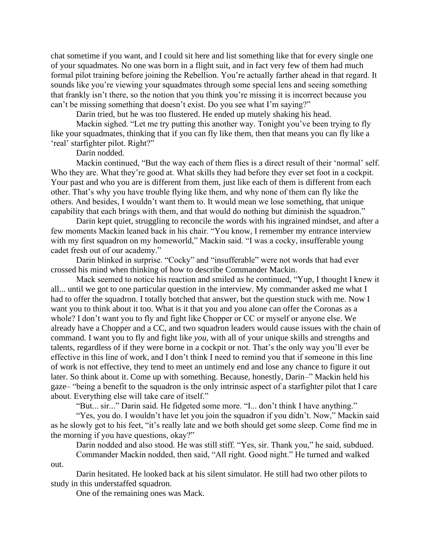chat sometime if you want, and I could sit here and list something like that for every single one of your squadmates. No one was born in a flight suit, and in fact very few of them had much formal pilot training before joining the Rebellion. You're actually farther ahead in that regard. It sounds like you're viewing your squadmates through some special lens and seeing something that frankly isn't there, so the notion that you think you're missing it is incorrect because you can't be missing something that doesn't exist. Do you see what I'm saying?"

Darin tried, but he was too flustered. He ended up mutely shaking his head.

Mackin sighed. "Let me try putting this another way. Tonight you've been trying to fly like your squadmates, thinking that if you can fly like them, then that means you can fly like a 'real' starfighter pilot. Right?"

Darin nodded.

Mackin continued, "But the way each of them flies is a direct result of their 'normal' self. Who they are. What they're good at. What skills they had before they ever set foot in a cockpit. Your past and who you are is different from them, just like each of them is different from each other. That's why you have trouble flying like them, and why none of them can fly like the others. And besides, I wouldn't want them to. It would mean we lose something, that unique capability that each brings with them, and that would do nothing but diminish the squadron."

Darin kept quiet, struggling to reconcile the words with his ingrained mindset, and after a few moments Mackin leaned back in his chair. "You know, I remember my entrance interview with my first squadron on my homeworld," Mackin said. "I was a cocky, insufferable young cadet fresh out of our academy."

Darin blinked in surprise. "Cocky" and "insufferable" were not words that had ever crossed his mind when thinking of how to describe Commander Mackin.

Mack seemed to notice his reaction and smiled as he continued, "Yup, I thought I knew it all... until we got to one particular question in the interview. My commander asked me what I had to offer the squadron. I totally botched that answer, but the question stuck with me. Now I want you to think about it too. What is it that you and you alone can offer the Coronas as a whole? I don't want you to fly and fight like Chopper or CC or myself or anyone else. We already have a Chopper and a CC, and two squadron leaders would cause issues with the chain of command. I want you to fly and fight like *you*, with all of your unique skills and strengths and talents, regardless of if they were borne in a cockpit or not. That's the only way you'll ever be effective in this line of work, and I don't think I need to remind you that if someone in this line of work is not effective, they tend to meet an untimely end and lose any chance to figure it out later. So think about it. Come up with something. Because, honestly, Darin–" Mackin held his gaze– "being a benefit to the squadron is the only intrinsic aspect of a starfighter pilot that I care about. Everything else will take care of itself."

"But... sir..." Darin said. He fidgeted some more. "I... don't think I have anything."

"Yes, you do. I wouldn't have let you join the squadron if you didn't. Now," Mackin said as he slowly got to his feet, "it's really late and we both should get some sleep. Come find me in the morning if you have questions, okay?"

Darin nodded and also stood. He was still stiff. "Yes, sir. Thank you," he said, subdued. Commander Mackin nodded, then said, "All right. Good night." He turned and walked

out.

Darin hesitated. He looked back at his silent simulator. He still had two other pilots to study in this understaffed squadron.

One of the remaining ones was Mack.